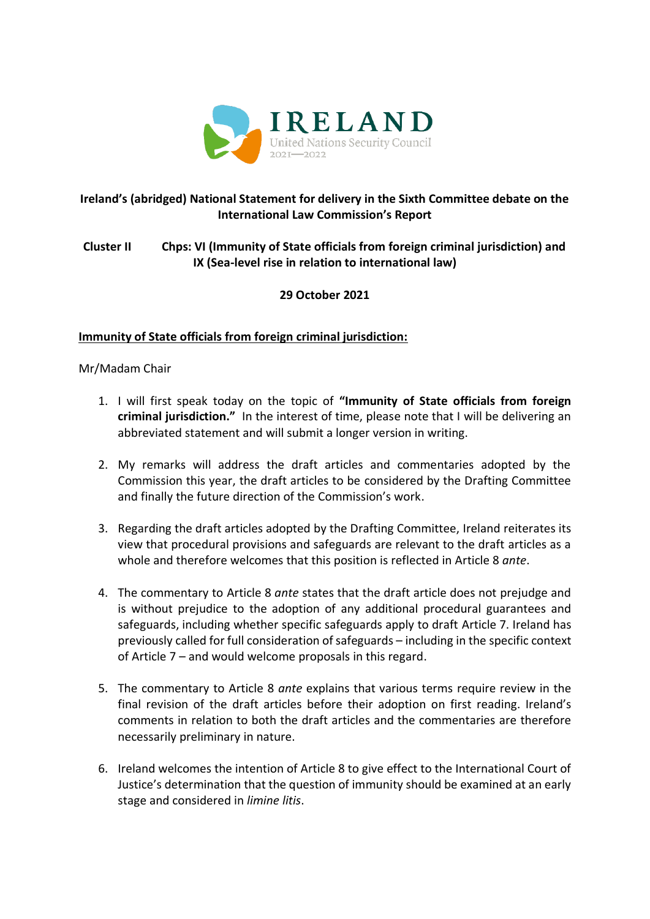

# **Ireland's (abridged) National Statement for delivery in the Sixth Committee debate on the International Law Commission's Report**

# **Cluster II Chps: VI (Immunity of State officials from foreign criminal jurisdiction) and IX (Sea-level rise in relation to international law)**

# **29 October 2021**

## **Immunity of State officials from foreign criminal jurisdiction:**

## Mr/Madam Chair

- 1. I will first speak today on the topic of **"Immunity of State officials from foreign criminal jurisdiction."** In the interest of time, please note that I will be delivering an abbreviated statement and will submit a longer version in writing.
- 2. My remarks will address the draft articles and commentaries adopted by the Commission this year, the draft articles to be considered by the Drafting Committee and finally the future direction of the Commission's work.
- 3. Regarding the draft articles adopted by the Drafting Committee, Ireland reiterates its view that procedural provisions and safeguards are relevant to the draft articles as a whole and therefore welcomes that this position is reflected in Article 8 *ante*.
- 4. The commentary to Article 8 *ante* states that the draft article does not prejudge and is without prejudice to the adoption of any additional procedural guarantees and safeguards, including whether specific safeguards apply to draft Article 7. Ireland has previously called for full consideration of safeguards – including in the specific context of Article 7 – and would welcome proposals in this regard.
- 5. The commentary to Article 8 *ante* explains that various terms require review in the final revision of the draft articles before their adoption on first reading. Ireland's comments in relation to both the draft articles and the commentaries are therefore necessarily preliminary in nature.
- 6. Ireland welcomes the intention of Article 8 to give effect to the International Court of Justice's determination that the question of immunity should be examined at an early stage and considered in *limine litis*.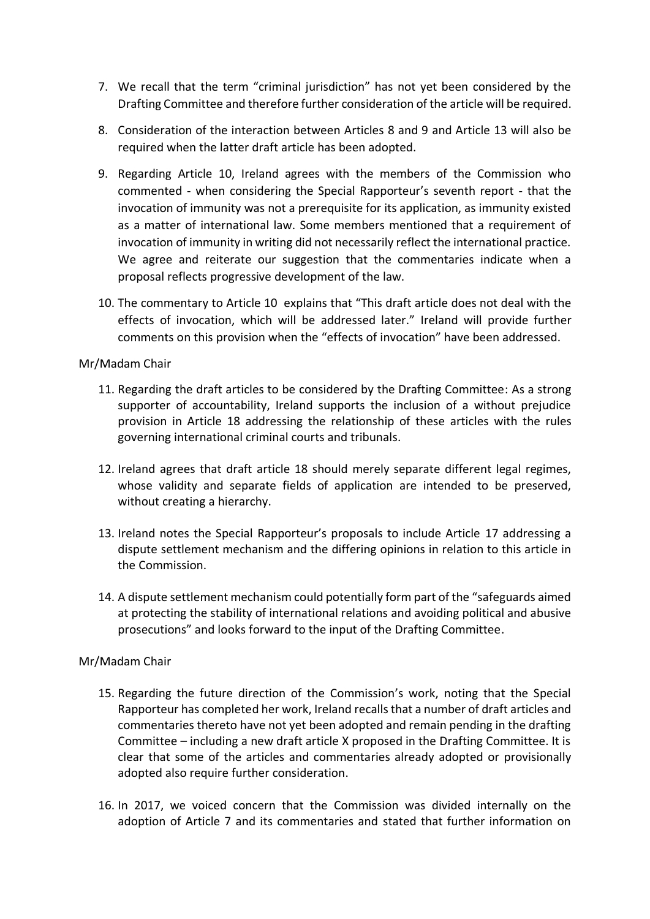- 7. We recall that the term "criminal jurisdiction" has not yet been considered by the Drafting Committee and therefore further consideration of the article will be required.
- 8. Consideration of the interaction between Articles 8 and 9 and Article 13 will also be required when the latter draft article has been adopted.
- 9. Regarding Article 10, Ireland agrees with the members of the Commission who commented - when considering the Special Rapporteur's seventh report - that the invocation of immunity was not a prerequisite for its application, as immunity existed as a matter of international law. Some members mentioned that a requirement of invocation of immunity in writing did not necessarily reflect the international practice. We agree and reiterate our suggestion that the commentaries indicate when a proposal reflects progressive development of the law.
- 10. The commentary to Article 10 explains that "This draft article does not deal with the effects of invocation, which will be addressed later." Ireland will provide further comments on this provision when the "effects of invocation" have been addressed.

### Mr/Madam Chair

- 11. Regarding the draft articles to be considered by the Drafting Committee: As a strong supporter of accountability, Ireland supports the inclusion of a without prejudice provision in Article 18 addressing the relationship of these articles with the rules governing international criminal courts and tribunals.
- 12. Ireland agrees that draft article 18 should merely separate different legal regimes, whose validity and separate fields of application are intended to be preserved, without creating a hierarchy.
- 13. Ireland notes the Special Rapporteur's proposals to include Article 17 addressing a dispute settlement mechanism and the differing opinions in relation to this article in the Commission.
- 14. A dispute settlement mechanism could potentially form part of the "safeguards aimed at protecting the stability of international relations and avoiding political and abusive prosecutions" and looks forward to the input of the Drafting Committee.

## Mr/Madam Chair

- 15. Regarding the future direction of the Commission's work, noting that the Special Rapporteur has completed her work, Ireland recalls that a number of draft articles and commentaries thereto have not yet been adopted and remain pending in the drafting Committee – including a new draft article X proposed in the Drafting Committee. It is clear that some of the articles and commentaries already adopted or provisionally adopted also require further consideration.
- 16. In 2017, we voiced concern that the Commission was divided internally on the adoption of Article 7 and its commentaries and stated that further information on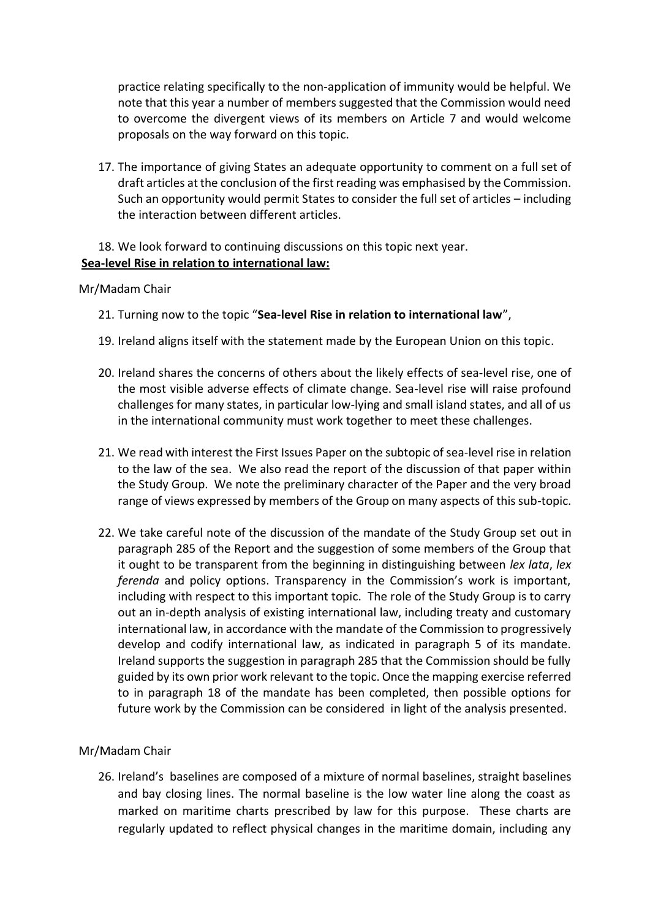practice relating specifically to the non-application of immunity would be helpful. We note that this year a number of members suggested that the Commission would need to overcome the divergent views of its members on Article 7 and would welcome proposals on the way forward on this topic.

17. The importance of giving States an adequate opportunity to comment on a full set of draft articles at the conclusion of the first reading was emphasised by the Commission. Such an opportunity would permit States to consider the full set of articles – including the interaction between different articles.

### 18. We look forward to continuing discussions on this topic next year. **Sea-level Rise in relation to international law:**

### Mr/Madam Chair

- 21. Turning now to the topic "**Sea-level Rise in relation to international law**",
- 19. Ireland aligns itself with the statement made by the European Union on this topic.
- 20. Ireland shares the concerns of others about the likely effects of sea-level rise, one of the most visible adverse effects of climate change. Sea-level rise will raise profound challenges for many states, in particular low-lying and small island states, and all of us in the international community must work together to meet these challenges.
- 21. We read with interest the First Issues Paper on the subtopic of sea-level rise in relation to the law of the sea. We also read the report of the discussion of that paper within the Study Group. We note the preliminary character of the Paper and the very broad range of views expressed by members of the Group on many aspects of this sub-topic.
- 22. We take careful note of the discussion of the mandate of the Study Group set out in paragraph 285 of the Report and the suggestion of some members of the Group that it ought to be transparent from the beginning in distinguishing between *lex lata*, *lex ferenda* and policy options. Transparency in the Commission's work is important, including with respect to this important topic. The role of the Study Group is to carry out an in-depth analysis of existing international law, including treaty and customary international law, in accordance with the mandate of the Commission to progressively develop and codify international law, as indicated in paragraph 5 of its mandate. Ireland supports the suggestion in paragraph 285 that the Commission should be fully guided by its own prior work relevant to the topic. Once the mapping exercise referred to in paragraph 18 of the mandate has been completed, then possible options for future work by the Commission can be considered in light of the analysis presented.

### Mr/Madam Chair

26. Ireland's baselines are composed of a mixture of normal baselines, straight baselines and bay closing lines. The normal baseline is the low water line along the coast as marked on maritime charts prescribed by law for this purpose. These charts are regularly updated to reflect physical changes in the maritime domain, including any